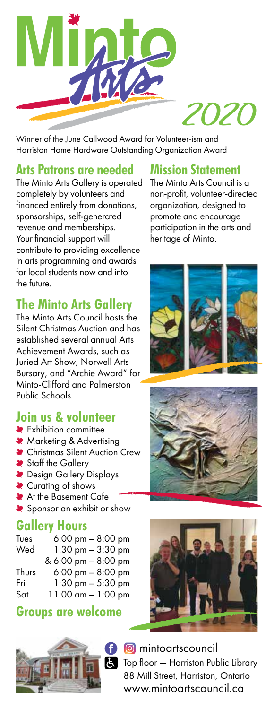

Winner of the *June Callwood Award for Volunteer-ism* and *Harriston Home Hardware Outstanding Organization Award* 

## **Arts Patrons are needed**

*The Minto Arts Gallery is operated completely by volunteers and financed entirely from donations, sponsorships, self-generated revenue and memberships. Your financial support will contribute to providing excellence in arts programming and awards for local students now and into the future.*

# **The Minto Arts Gallery**

*The Minto Arts Council hosts the Silent Christmas Auction and has established several annual Arts Achievement Awards, such as Juried Art Show, Norwell Arts Bursary, and "Archie Award" for Minto-Clifford and Palmerston Public Schools.*

## **Join us & volunteer**

- *Exhibition committee*
- *Marketing & Advertising*
- *Christmas Silent Auction Crew*
- *Staff the Gallery*
- *Design Gallery Displays*
- *Curating of shows*
- *At the Basement Cafe*
- *Sponsor an exhibit or show*

# **Gallery Hours**

| Tues  | $6:00 \text{ pm} - 8:00 \text{ pm}$ |
|-------|-------------------------------------|
| Wed   | $1:30$ pm $-3:30$ pm                |
|       | & 6:00 pm - 8:00 pm                 |
| Thurs | $6:00 \text{ pm} - 8:00 \text{ pm}$ |
| Fri   | $1:30$ pm $-5:30$ pm                |
| Sat   | $11:00$ am $-1:00$ pm               |

#### **Groups are welcome**



### **Mission Statement**

*The Minto Arts Council is a non-profit, volunteer-directed organization, designed to promote and encourage participation in the arts and heritage of Minto.*







**S** mintoartscouncil *Top floor — Harriston Public Library 88 Mill Street, Harriston, Ontario* www.mintoartscouncil.ca